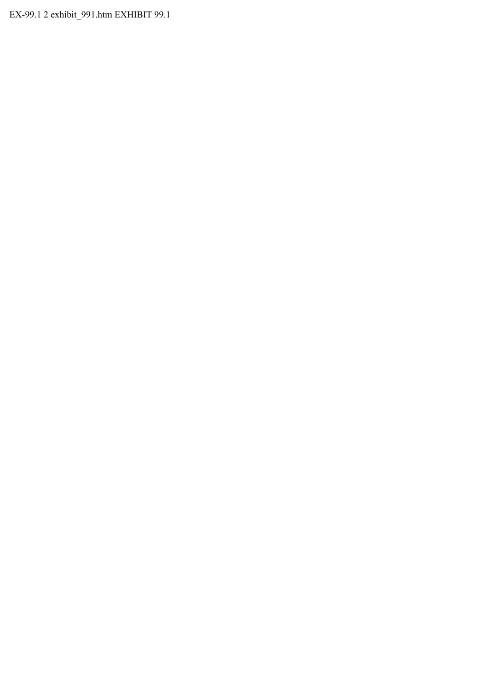EX-99.1 2 exhibit\_991.htm EXHIBIT 99.1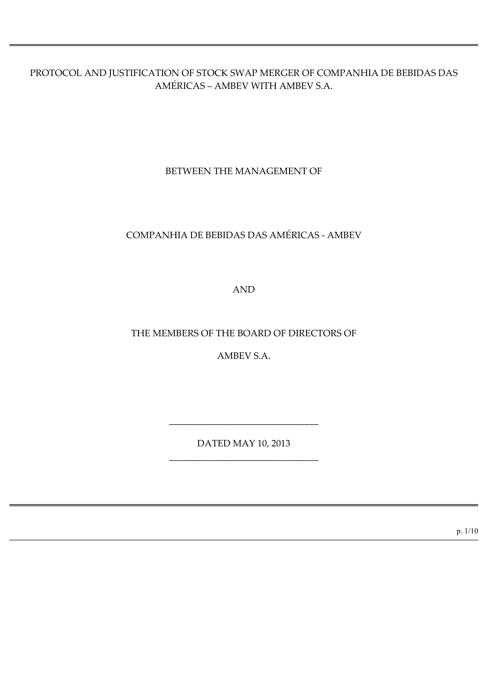PROTOCOL AND JUSTIFICATION OF STOCK SWAP MERGER OF COMPANHIA DE BEBIDAS DAS AMÉRICAS – AMBEV WITH AMBEV S.A.

BETWEEN THE MANAGEMENT OF

# COMPANHIA DE BEBIDAS DAS AMÉRICAS - AMBEV

AND

THE MEMBERS OF THE BOARD OF DIRECTORS OF

AMBEV S.A.

DATED MAY 10, 2013 \_\_\_\_\_\_\_\_\_\_\_\_\_\_\_\_\_\_\_\_\_\_\_\_\_\_\_\_\_\_\_\_

\_\_\_\_\_\_\_\_\_\_\_\_\_\_\_\_\_\_\_\_\_\_\_\_\_\_\_\_\_\_\_\_

p. 1/10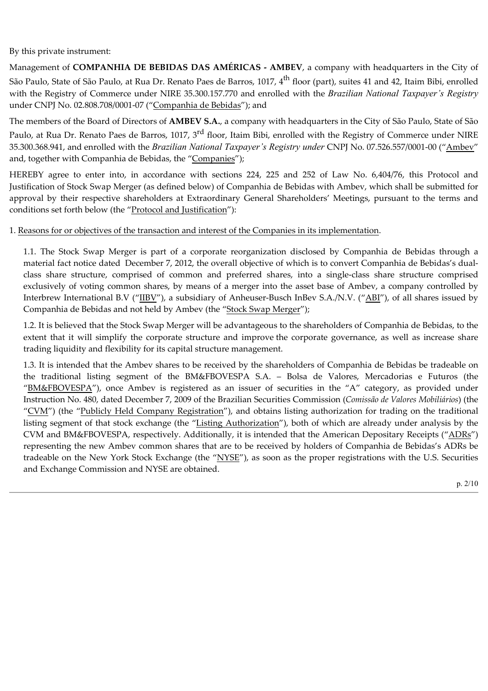By this private instrument:

Management of **COMPANHIA DE BEBIDAS DAS AMÉRICAS - AMBEV**, a company with headquarters in the City of São Paulo, State of São Paulo, at Rua Dr. Renato Paes de Barros, 1017, 4<sup>th</sup> floor (part), suites 41 and 42, Itaim Bibi, enrolled with the Registry of Commerce under NIRE 35.300.157.770 and enrolled with the *Brazilian National Taxpayer's Registry* under CNPJ No. 02.808.708/0001-07 ("Companhia de Bebidas"); and

The members of the Board of Directors of **AMBEV S.A.**, a company with headquarters in the City of São Paulo, State of São

Paulo, at Rua Dr. Renato Paes de Barros, 1017, 3<sup>rd</sup> floor, Itaim Bibi, enrolled with the Registry of Commerce under NIRE 35.300.368.941, and enrolled with the *Brazilian National Taxpayer's Registry under* CNPJ No. 07.526.557/0001-00 ("Ambev" and, together with Companhia de Bebidas, the "Companies");

HEREBY agree to enter into, in accordance with sections 224, 225 and 252 of Law No. 6,404/76, this Protocol and Justification of Stock Swap Merger (as defined below) of Companhia de Bebidas with Ambev, which shall be submitted for approval by their respective shareholders at Extraordinary General Shareholders' Meetings, pursuant to the terms and conditions set forth below (the "Protocol and Justification"):

# 1. Reasons for or objectives of the transaction and interest of the Companies in its implementation.

1.1. The Stock Swap Merger is part of a corporate reorganization disclosed by Companhia de Bebidas through a material fact notice dated December 7, 2012, the overall objective of which is to convert Companhia de Bebidas's dualclass share structure, comprised of common and preferred shares, into a singleclass share structure comprised exclusively of voting common shares, by means of a merger into the asset base of Ambev, a company controlled by Interbrew International B.V ("IIBV"), a subsidiary of Anheuser-Busch InBev S.A./N.V. ("ABI"), of all shares issued by Companhia de Bebidas and not held by Ambev (the "Stock Swap Merger");

1.2. It is believed that the Stock Swap Merger will be advantageous to the shareholders of Companhia de Bebidas, to the extent that it will simplify the corporate structure and improve the corporate governance, as well as increase share trading liquidity and flexibility for its capital structure management.

1.3. It is intended that the Ambev shares to be received by the shareholders of Companhia de Bebidas be tradeable on the traditional listing segment of the BM&FBOVESPA S.A. – Bolsa de Valores, Mercadorias e Futuros (the "BM&FBOVESPA"), once Ambev is registered as an issuer of securities in the "A" category, as provided under Instruction No. 480, dated December 7, 2009 of the Brazilian Securities Commission (*Comissão de Valores Mobiliários*) (the "CVM") (the "Publicly Held Company Registration"), and obtains listing authorization for trading on the traditional listing segment of that stock exchange (the "Listing Authorization"), both of which are already under analysis by the CVM and BM&FBOVESPA, respectively. Additionally, it is intended that the American Depositary Receipts ("ADRs") representing the new Ambev common shares that are to be received by holders of Companhia de Bebidas's ADRs be tradeable on the New York Stock Exchange (the "NYSE"), as soon as the proper registrations with the U.S. Securities and Exchange Commission and NYSE are obtained.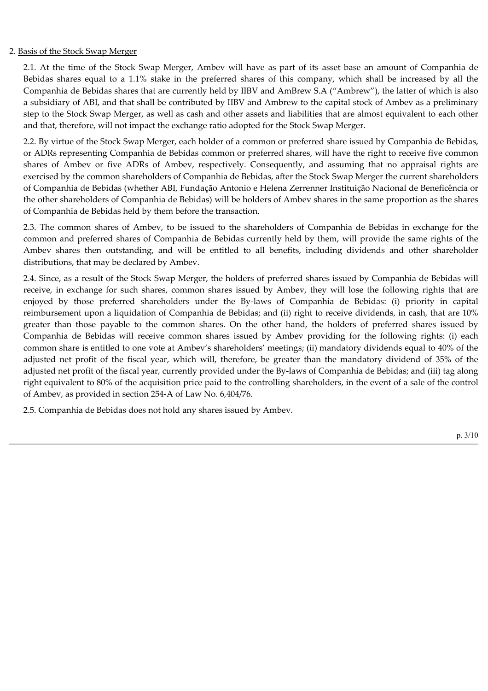### 2. Basis of the Stock Swap Merger

2.1. At the time of the Stock Swap Merger, Ambev will have as part of its asset base an amount of Companhia de Bebidas shares equal to a 1.1% stake in the preferred shares of this company, which shall be increased by all the Companhia de Bebidas shares that are currently held by IIBV and AmBrew S.A ("Ambrew"), the latter of which is also a subsidiary of ABI, and that shall be contributed by IIBV and Ambrew to the capital stock of Ambev as a preliminary step to the Stock Swap Merger, as well as cash and other assets and liabilities that are almost equivalent to each other and that, therefore, will not impact the exchange ratio adopted for the Stock Swap Merger.

2.2. By virtue of the Stock Swap Merger, each holder of a common or preferred share issued by Companhia de Bebidas, or ADRs representing Companhia de Bebidas common or preferred shares, will have the right to receive five common shares of Ambev or five ADRs of Ambev, respectively. Consequently, and assuming that no appraisal rights are exercised by the common shareholders of Companhia de Bebidas, after the Stock Swap Merger the current shareholders of Companhia de Bebidas (whether ABI, Fundação Antonio e Helena Zerrenner Instituição Nacional de Beneficência or the other shareholders of Companhia de Bebidas) will be holders of Ambev shares in the same proportion as the shares of Companhia de Bebidas held by them before the transaction.

2.3. The common shares of Ambev, to be issued to the shareholders of Companhia de Bebidas in exchange for the common and preferred shares of Companhia de Bebidas currently held by them, will provide the same rights of the Ambev shares then outstanding, and will be entitled to all benefits, including dividends and other shareholder distributions, that may be declared by Ambev.

2.4. Since, as a result of the Stock Swap Merger, the holders of preferred shares issued by Companhia de Bebidas will receive, in exchange for such shares, common shares issued by Ambev, they will lose the following rights that are enjoyed by those preferred shareholders under the By-laws of Companhia de Bebidas: (i) priority in capital reimbursement upon a liquidation of Companhia de Bebidas; and (ii) right to receive dividends, in cash, that are 10% greater than those payable to the common shares. On the other hand, the holders of preferred shares issued by Companhia de Bebidas will receive common shares issued by Ambev providing for the following rights: (i) each common share is entitled to one vote at Ambev's shareholders' meetings; (ii) mandatory dividends equal to 40% of the adjusted net profit of the fiscal year, which will, therefore, be greater than the mandatory dividend of 35% of the adjusted net profit of the fiscal year, currently provided under the By-laws of Companhia de Bebidas; and (iii) tag along right equivalent to 80% of the acquisition price paid to the controlling shareholders, in the event of a sale of the control of Ambev, as provided in section 254A of Law No. 6,404/76.

2.5. Companhia de Bebidas does not hold any shares issued by Ambev.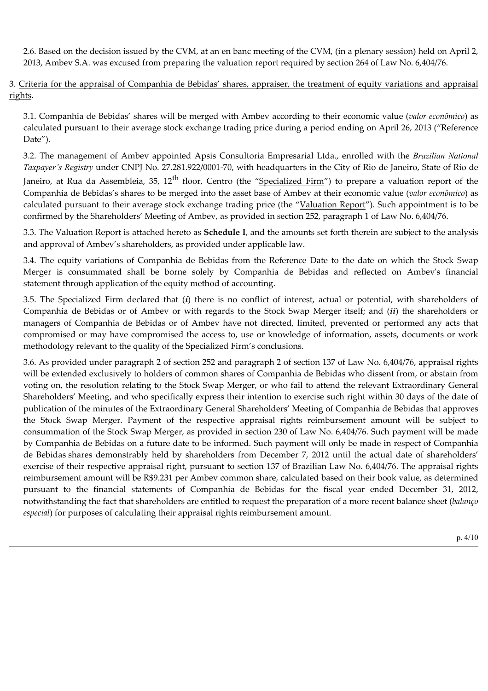2.6. Based on the decision issued by the CVM, at an en banc meeting of the CVM, (in a plenary session) held on April 2, 2013, Ambev S.A. was excused from preparing the valuation report required by section 264 of Law No. 6,404/76.

3. Criteria for the appraisal of Companhia de Bebidas' shares, appraiser, the treatment of equity variations and appraisal rights.

3.1. Companhia de Bebidas' shares will be merged with Ambev according to their economic value (*valor econômico*) as calculated pursuant to their average stock exchange trading price during a period ending on April 26, 2013 ("Reference Date").

3.2. The management of Ambev appointed Apsis Consultoria Empresarial Ltda., enrolled with the *Brazilian National Taxpayer's Registry* under CNPJ No. 27.281.922/0001-70, with headquarters in the City of Rio de Janeiro, State of Rio de Janeiro, at Rua da Assembleia, 35,  $12<sup>th</sup>$  floor, Centro (the "Specialized Firm") to prepare a valuation report of the Companhia de Bebidas's shares to be merged into the asset base of Ambev at their economic value (*valor econômico*) as calculated pursuant to their average stock exchange trading price (the "Valuation Report"). Such appointment is to be confirmed by the Shareholders' Meeting of Ambev, as provided in section 252, paragraph 1 of Law No. 6,404/76.

3.3. The Valuation Report is attached hereto as **Schedule I**, and the amounts set forth therein are subject to the analysis and approval of Ambev's shareholders, as provided under applicable law.

3.4. The equity variations of Companhia de Bebidas from the Reference Date to the date on which the Stock Swap Merger is consummated shall be borne solely by Companhia de Bebidas and reflected on Ambevʹs financial statement through application of the equity method of accounting.

3.5. The Specialized Firm declared that (*i*) there is no conflict of interest, actual or potential, with shareholders of Companhia de Bebidas or of Ambev or with regards to the Stock Swap Merger itself; and (*ii*) the shareholders or managers of Companhia de Bebidas or of Ambev have not directed, limited, prevented or performed any acts that compromised or may have compromised the access to, use or knowledge of information, assets, documents or work methodology relevant to the quality of the Specialized Firm's conclusions.

3.6. As provided under paragraph 2 of section 252 and paragraph 2 of section 137 of Law No. 6,404/76, appraisal rights will be extended exclusively to holders of common shares of Companhia de Bebidas who dissent from, or abstain from voting on, the resolution relating to the Stock Swap Merger, or who fail to attend the relevant Extraordinary General Shareholders' Meeting, and who specifically express their intention to exercise such right within 30 days of the date of publication of the minutes of the Extraordinary General Shareholders' Meeting of Companhia de Bebidas that approves the Stock Swap Merger. Payment of the respective appraisal rights reimbursement amount will be subject to consummation of the Stock Swap Merger, as provided in section 230 of Law No. 6,404/76. Such payment will be made by Companhia de Bebidas on a future date to be informed. Such payment will only be made in respect of Companhia de Bebidas shares demonstrably held by shareholders from December 7, 2012 until the actual date of shareholders' exercise of their respective appraisal right, pursuant to section 137 of Brazilian Law No. 6,404/76. The appraisal rights reimbursement amount will be R\$9.231 per Ambev common share, calculated based on their book value, as determined pursuant to the financial statements of Companhia de Bebidas for the fiscal year ended December 31, 2012, notwithstanding the fact that shareholders are entitled to request the preparation of a more recent balance sheet (*balanço especial*) for purposes of calculating their appraisal rights reimbursement amount.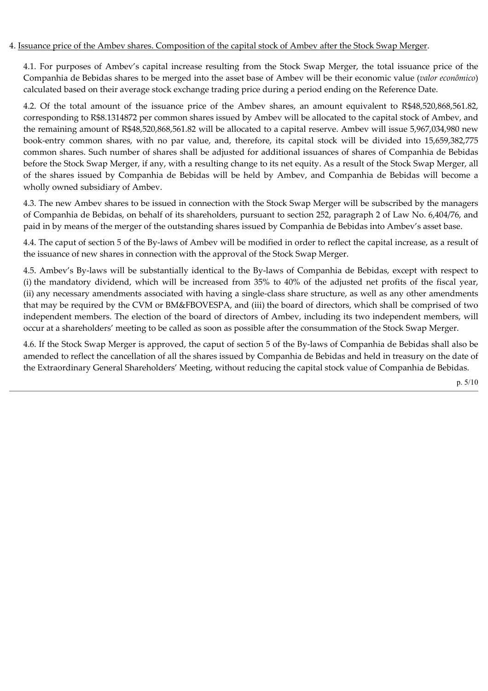# 4. Issuance price of the Ambev shares. Composition of the capital stock of Ambev after the Stock Swap Merger.

4.1. For purposes of Ambev's capital increase resulting from the Stock Swap Merger, the total issuance price of the Companhia de Bebidas shares to be merged into the asset base of Ambev will be their economic value (*valor econômico*) calculated based on their average stock exchange trading price during a period ending on the Reference Date.

4.2. Of the total amount of the issuance price of the Ambev shares, an amount equivalent to R\$48,520,868,561.82, corresponding to R\$8.1314872 per common shares issued by Ambev will be allocated to the capital stock of Ambev, and the remaining amount of R\$48,520,868,561.82 will be allocated to a capital reserve. Ambev will issue 5,967,034,980 new bookentry common shares, with no par value, and, therefore, its capital stock will be divided into 15,659,382,775 common shares. Such number of shares shall be adjusted for additional issuances of shares of Companhia de Bebidas before the Stock Swap Merger, if any, with a resulting change to its net equity. As a result of the Stock Swap Merger, all of the shares issued by Companhia de Bebidas will be held by Ambev, and Companhia de Bebidas will become a wholly owned subsidiary of Ambev.

4.3. The new Ambev shares to be issued in connection with the Stock Swap Merger will be subscribed by the managers of Companhia de Bebidas, on behalf of its shareholders, pursuant to section 252, paragraph 2 of Law No. 6,404/76, and paid in by means of the merger of the outstanding shares issued by Companhia de Bebidas into Ambev's asset base.

4.4. The caput of section 5 of the By-laws of Ambev will be modified in order to reflect the capital increase, as a result of the issuance of new shares in connection with the approval of the Stock Swap Merger.

4.5. Ambev's By-laws will be substantially identical to the By-laws of Companhia de Bebidas, except with respect to (i) the mandatory dividend, which will be increased from 35% to 40% of the adjusted net profits of the fiscal year, (ii) any necessary amendments associated with having a single-class share structure, as well as any other amendments that may be required by the CVM or BM&FBOVESPA, and (iii) the board of directors, which shall be comprised of two independent members. The election of the board of directors of Ambev, including its two independent members, will occur at a shareholders' meeting to be called as soon as possible after the consummation of the Stock Swap Merger.

4.6. If the Stock Swap Merger is approved, the caput of section 5 of the By-laws of Companhia de Bebidas shall also be amended to reflect the cancellation of all the shares issued by Companhia de Bebidas and held in treasury on the date of the Extraordinary General Shareholders' Meeting, without reducing the capital stock value of Companhia de Bebidas.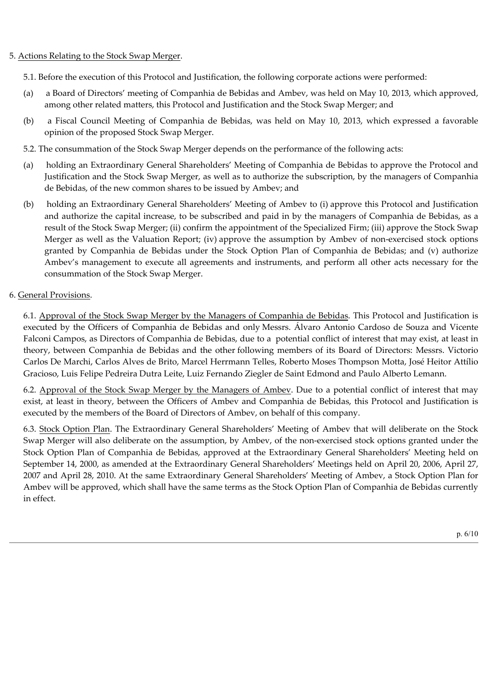# 5. Actions Relating to the Stock Swap Merger.

- 5.1. Before the execution of this Protocol and Justification, the following corporate actions were performed:
- (a) a Board of Directors' meeting of Companhia de Bebidas and Ambev, was held on May 10, 2013, which approved, among other related matters, this Protocol and Justification and the Stock Swap Merger; and
- (b) a Fiscal Council Meeting of Companhia de Bebidas, was held on May 10, 2013, which expressed a favorable opinion of the proposed Stock Swap Merger.
- 5.2. The consummation of the Stock Swap Merger depends on the performance of the following acts:
- (a) holding an Extraordinary General Shareholders' Meeting of Companhia de Bebidas to approve the Protocol and Justification and the Stock Swap Merger, as well as to authorize the subscription, by the managers of Companhia de Bebidas, of the new common shares to be issued by Ambev; and
- (b) holding an Extraordinary General Shareholders' Meeting of Ambev to (i) approve this Protocol and Justification and authorize the capital increase, to be subscribed and paid in by the managers of Companhia de Bebidas, as a result of the Stock Swap Merger; (ii) confirm the appointment of the Specialized Firm; (iii) approve the Stock Swap Merger as well as the Valuation Report; (iv) approve the assumption by Ambev of nonexercised stock options granted by Companhia de Bebidas under the Stock Option Plan of Companhia de Bebidas; and (v) authorize Ambev's management to execute all agreements and instruments, and perform all other acts necessary for the consummation of the Stock Swap Merger.

# 6. General Provisions.

6.1. Approval of the Stock Swap Merger by the Managers of Companhia de Bebidas. This Protocol and Justification is executed by the Officers of Companhia de Bebidas and only Messrs. Álvaro Antonio Cardoso de Souza and Vicente Falconi Campos, as Directors of Companhia de Bebidas, due to a potential conflict of interest that may exist, at least in theory, between Companhia de Bebidas and the other following members of its Board of Directors: Messrs. Victorio Carlos De Marchi, Carlos Alves de Brito, Marcel Herrmann Telles, Roberto Moses Thompson Motta, José Heitor Attílio Gracioso, Luis Felipe Pedreira Dutra Leite, Luiz Fernando Ziegler de Saint Edmond and Paulo Alberto Lemann.

6.2. Approval of the Stock Swap Merger by the Managers of Ambev. Due to a potential conflict of interest that may exist, at least in theory, between the Officers of Ambev and Companhia de Bebidas, this Protocol and Justification is executed by the members of the Board of Directors of Ambev, on behalf of this company.

6.3. Stock Option Plan. The Extraordinary General Shareholders' Meeting of Ambev that will deliberate on the Stock Swap Merger will also deliberate on the assumption, by Ambev, of the non-exercised stock options granted under the Stock Option Plan of Companhia de Bebidas, approved at the Extraordinary General Shareholders' Meeting held on September 14, 2000, as amended at the Extraordinary General Shareholders' Meetings held on April 20, 2006, April 27, 2007 and April 28, 2010. At the same Extraordinary General Shareholders' Meeting of Ambev, a Stock Option Plan for Ambev will be approved, which shall have the same terms as the Stock Option Plan of Companhia de Bebidas currently in effect.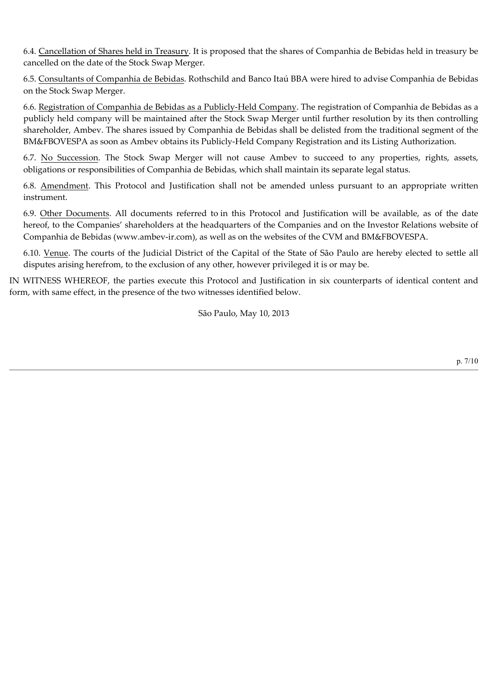6.4. Cancellation of Shares held in Treasury. It is proposed that the shares of Companhia de Bebidas held in treasury be cancelled on the date of the Stock Swap Merger.

6.5. Consultants of Companhia de Bebidas. Rothschild and Banco Itaú BBA were hired to advise Companhia de Bebidas on the Stock Swap Merger.

6.6. Registration of Companhia de Bebidas as a Publicly-Held Company. The registration of Companhia de Bebidas as a publicly held company will be maintained after the Stock Swap Merger until further resolution by its then controlling shareholder, Ambev. The shares issued by Companhia de Bebidas shall be delisted from the traditional segment of the BM&FBOVESPA as soon as Ambev obtains its Publicly-Held Company Registration and its Listing Authorization.

6.7. No Succession. The Stock Swap Merger will not cause Ambev to succeed to any properties, rights, assets, obligations or responsibilities of Companhia de Bebidas, which shall maintain its separate legal status.

6.8. Amendment. This Protocol and Justification shall not be amended unless pursuant to an appropriate written instrument.

6.9. Other Documents. All documents referred to in this Protocol and Justification will be available, as of the date hereof, to the Companies' shareholders at the headquarters of the Companies and on the Investor Relations website of Companhia de Bebidas (www.ambev-ir.com), as well as on the websites of the CVM and BM&FBOVESPA.

6.10. Venue. The courts of the Judicial District of the Capital of the State of São Paulo are hereby elected to settle all disputes arising herefrom, to the exclusion of any other, however privileged it is or may be.

IN WITNESS WHEREOF, the parties execute this Protocol and Justification in six counterparts of identical content and form, with same effect, in the presence of the two witnesses identified below.

São Paulo, May 10, 2013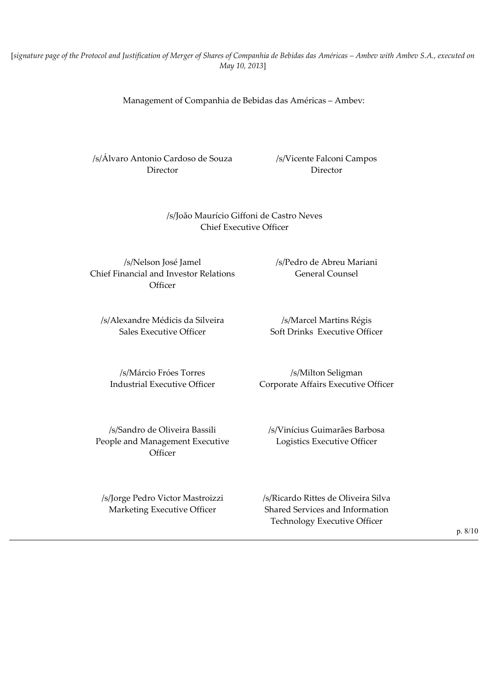[*signature page of the Protocol and Justification of Merger of Shares of Companhia de Bebidas das Américas – Ambev with Ambev S.A., executed on May 10, 2013*]

Management of Companhia de Bebidas das Américas – Ambev:

/s/Álvaro Antonio Cardoso de Souza /s/Vicente Falconi Campos Director Director

### /s/João Maurício Giffoni de Castro Neves Chief Executive Officer

/s/Nelson José Jamel /s/Pedro de Abreu Mariani Chief Financial and Investor Relations **Officer** 

/s/Alexandre Médicis da Silveira /s/Marcel Martins Régis Sales Executive Officer Soft Drinks Executive Officer

General Counsel

/s/Márcio Fróes Torres /s/Milton Seligman Industrial Executive Officer Corporate Affairs Executive Officer

/s/Sandro de Oliveira Bassili /s/Vinícius Guimarães Barbosa People and Management Executive **Officer** 

Logistics Executive Officer

/s/Jorge Pedro Victor Mastroizzi /s/Ricardo Rittes de Oliveira Silva Marketing Executive Officer Shared Services and Information Technology Executive Officer

p. 8/10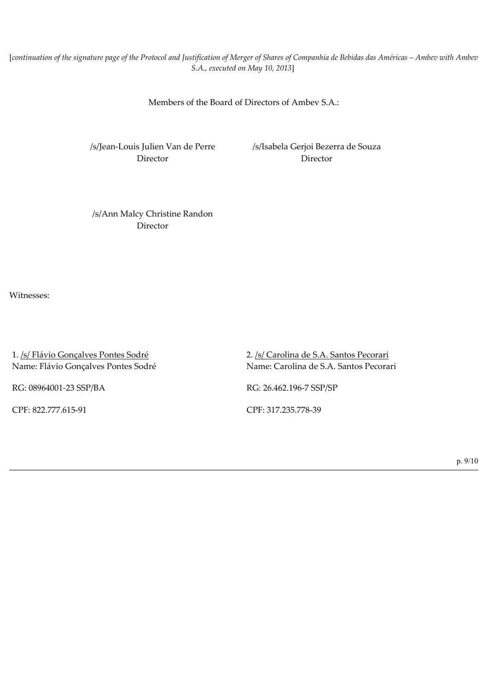[*continuation of the signature page of the Protocol and Justification of Merger of Shares of Companhia de Bebidas das Américas – Ambev with Ambev S.A., executed on May 10, 2013*]

Members of the Board of Directors of Ambev S.A.:

/s/Jean-Louis Julien Van de Perre /s/Isabela Gerjoi Bezerra de Souza Director Director

/s/Ann Malcy Christine Randon Director

Witnesses:

1. /s/ Flávio Gonçalves Pontes Sodré 2. /s/ Carolina de S.A. Santos Pecorari Name: Flávio Gonçalves Pontes Sodré Name: Carolina de S.A. Santos Pecorari

RG: 08964001-23 SSP/BA RG: 26.462.196-7 SSP/SP

CPF: 822.777.61591 CPF: 317.235.77839